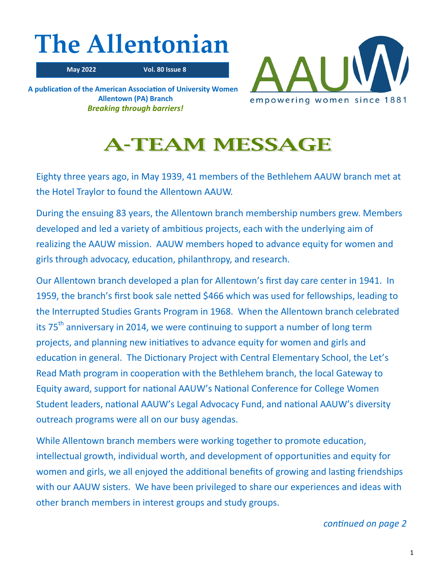# **The Allentonian**

 **May 2022 Vol. 80 Issue 8**

**A publication of the American Association of University Women Allentown (PA) Branch** *Breaking through barriers!*



## **A-TEAM MESSAGE**

Eighty three years ago, in May 1939, 41 members of the Bethlehem AAUW branch met at the Hotel Traylor to found the Allentown AAUW.

During the ensuing 83 years, the Allentown branch membership numbers grew. Members developed and led a variety of ambitious projects, each with the underlying aim of realizing the AAUW mission. AAUW members hoped to advance equity for women and girls through advocacy, education, philanthropy, and research.

Our Allentown branch developed a plan for Allentown's first day care center in 1941. In 1959, the branch's first book sale netted \$466 which was used for fellowships, leading to the Interrupted Studies Grants Program in 1968. When the Allentown branch celebrated its 75<sup>th</sup> anniversary in 2014, we were continuing to support a number of long term projects, and planning new initiatives to advance equity for women and girls and education in general. The Dictionary Project with Central Elementary School, the Let's Read Math program in cooperation with the Bethlehem branch, the local Gateway to Equity award, support for national AAUW's National Conference for College Women Student leaders, national AAUW's Legal Advocacy Fund, and national AAUW's diversity outreach programs were all on our busy agendas.

While Allentown branch members were working together to promote education, intellectual growth, individual worth, and development of opportunities and equity for women and girls, we all enjoyed the additional benefits of growing and lasting friendships with our AAUW sisters. We have been privileged to share our experiences and ideas with other branch members in interest groups and study groups.

*continued on page 2*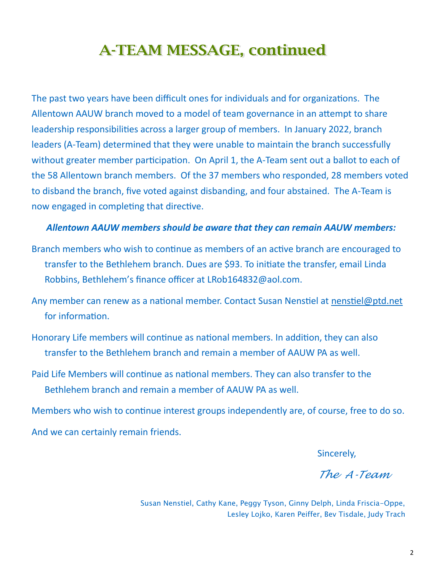## **A-TEAM MESSAGE, continued**

The past two years have been difficult ones for individuals and for organizations. The Allentown AAUW branch moved to a model of team governance in an attempt to share leadership responsibilities across a larger group of members. In January 2022, branch leaders (A-Team) determined that they were unable to maintain the branch successfully without greater member participation. On April 1, the A-Team sent out a ballot to each of the 58 Allentown branch members. Of the 37 members who responded, 28 members voted to disband the branch, five voted against disbanding, and four abstained. The A-Team is now engaged in completing that directive.

## *Allentown AAUW members should be aware that they can remain AAUW members:*

- Branch members who wish to continue as members of an active branch are encouraged to transfer to the Bethlehem branch. Dues are \$93. To initiate the transfer, email Linda Robbins, Bethlehem's finance officer at LRob164832@aol.com.
- Any member can renew as a national member. Contact Susan Nenstiel at [nenstiel@ptd.net](mailto:nenstiel@ptd.net) for information.
- Honorary Life members will continue as national members. In addition, they can also transfer to the Bethlehem branch and remain a member of AAUW PA as well.
- Paid Life Members will continue as national members. They can also transfer to the Bethlehem branch and remain a member of AAUW PA as well.

Members who wish to continue interest groups independently are, of course, free to do so. And we can certainly remain friends.

Sincerely,

*The A-Team*

Susan Nenstiel, Cathy Kane, Peggy Tyson, Ginny Delph, Linda Friscia-Oppe, Lesley Lojko, Karen Peiffer, Bev Tisdale, Judy Trach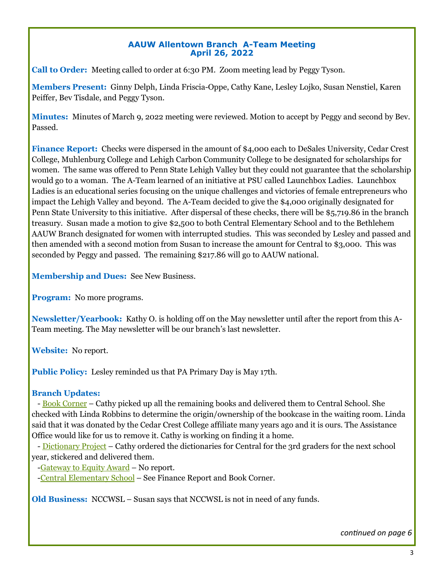## **AAUW Allentown Branch A-Team Meeting April 26, 2022**

**Call to Order:** Meeting called to order at 6:30 PM. Zoom meeting lead by Peggy Tyson.

**Members Present:** Ginny Delph, Linda Friscia-Oppe, Cathy Kane, Lesley Lojko, Susan Nenstiel, Karen Peiffer, Bev Tisdale, and Peggy Tyson.

**Minutes:** Minutes of March 9, 2022 meeting were reviewed. Motion to accept by Peggy and second by Bev. Passed.

**Finance Report:** Checks were dispersed in the amount of \$4,000 each to DeSales University, Cedar Crest College, Muhlenburg College and Lehigh Carbon Community College to be designated for scholarships for women. The same was offered to Penn State Lehigh Valley but they could not guarantee that the scholarship would go to a woman. The A-Team learned of an initiative at PSU called Launchbox Ladies. Launchbox Ladies is an educational series focusing on the unique challenges and victories of female entrepreneurs who impact the Lehigh Valley and beyond. The A-Team decided to give the \$4,000 originally designated for Penn State University to this initiative. After dispersal of these checks, there will be \$5,719.86 in the branch treasury. Susan made a motion to give \$2,500 to both Central Elementary School and to the Bethlehem AAUW Branch designated for women with interrupted studies. This was seconded by Lesley and passed and then amended with a second motion from Susan to increase the amount for Central to \$3,000. This was seconded by Peggy and passed. The remaining \$217.86 will go to AAUW national.

**Membership and Dues:** See New Business.

**Program:** No more programs.

**Newsletter/Yearbook:** Kathy O. is holding off on the May newsletter until after the report from this A-Team meeting. The May newsletter will be our branch's last newsletter.

**Website:** No report.

**Public Policy:** Lesley reminded us that PA Primary Day is May 17th.

## **Branch Updates:**

- Book Corner – Cathy picked up all the remaining books and delivered them to Central School. She checked with Linda Robbins to determine the origin/ownership of the bookcase in the waiting room. Linda said that it was donated by the Cedar Crest College affiliate many years ago and it is ours. The Assistance Office would like for us to remove it. Cathy is working on finding it a home.

- Dictionary Project – Cathy ordered the dictionaries for Central for the 3rd graders for the next school year, stickered and delivered them.

-Gateway to Equity Award – No report.

-Central Elementary School – See Finance Report and Book Corner.

**Old Business:** NCCWSL – Susan says that NCCWSL is not in need of any funds.

*continued on page 6*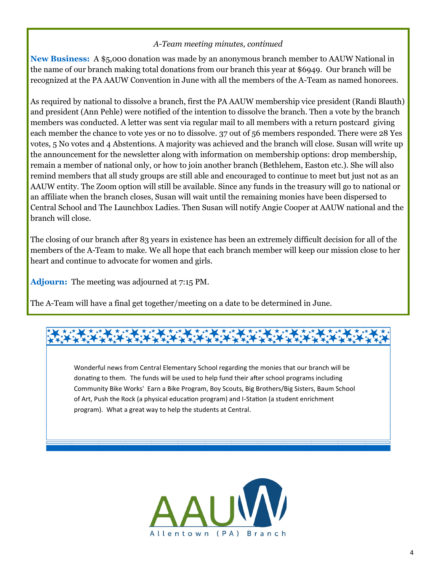## *A-Team meeting minutes, continued*

**New Business:** A \$5,000 donation was made by an anonymous branch member to AAUW National in the name of our branch making total donations from our branch this year at \$6949. Our branch will be recognized at the PA AAUW Convention in June with all the members of the A-Team as named honorees.

As required by national to dissolve a branch, first the PA AAUW membership vice president (Randi Blauth) and president (Ann Pehle) were notified of the intention to dissolve the branch. Then a vote by the branch members was conducted. A letter was sent via regular mail to all members with a return postcard giving each member the chance to vote yes or no to dissolve. 37 out of 56 members responded. There were 28 Yes votes, 5 No votes and 4 Abstentions. A majority was achieved and the branch will close. Susan will write up the announcement for the newsletter along with information on membership options: drop membership, remain a member of national only, or how to join another branch (Bethlehem, Easton etc.). She will also remind members that all study groups are still able and encouraged to continue to meet but just not as an AAUW entity. The Zoom option will still be available. Since any funds in the treasury will go to national or an affiliate when the branch closes, Susan will wait until the remaining monies have been dispersed to Central School and The Launchbox Ladies. Then Susan will notify Angie Cooper at AAUW national and the branch will close.

The closing of our branch after 83 years in existence has been an extremely difficult decision for all of the members of the A-Team to make. We all hope that each branch member will keep our mission close to her heart and continue to advocate for women and girls.

**Adjourn:** The meeting was adjourned at 7:15 PM.

The A-Team will have a final get together/meeting on a date to be determined in June.

Wonderful news from Central Elementary School regarding the monies that our branch will be donating to them. The funds will be used to help fund their after school programs including Community Bike Works' Earn a Bike Program, Boy Scouts, Big Brothers/Big Sisters, Baum School of Art, Push the Rock (a physical education program) and I-Station (a student enrichment program). What a great way to help the students at Central.

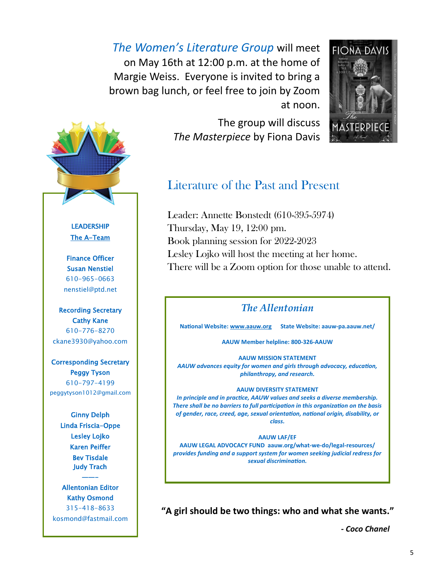*The Women's Literature Group* will meet on May 16th at 12:00 p.m. at the home of Margie Weiss. Everyone is invited to bring a brown bag lunch, or feel free to join by Zoom at noon.

> The group will discuss *The Masterpiece* by Fiona Davis





## Literature of the Past and Present

Leader: Annette Bonstedt (610-395-5974) Thursday, May 19, 12:00 pm. Book planning session for 2022-2023 Lesley Lojko will host the meeting at her home. There will be a Zoom option for those unable to attend.

## *The Allentonian*

**National Website: [www.aauw.org](http://www.aauw.org) State Website: aauw-pa.aauw.net/**

**AAUW Member helpline: 800-326-AAUW**

**AAUW MISSION STATEMENT** *AAUW advances equity for women and girls through advocacy, education, philanthropy, and research.*

## **AAUW DIVERSITY STATEMENT**

*In principle and in practice, AAUW values and seeks a diverse membership. There shall be no barriers to full participation in this organization on the basis of gender, race, creed, age, sexual orientation, national origin, disability, or class.*

### **AAUW LAF/EF**

**AAUW LEGAL ADVOCACY FUND aauw.org/what-we-do/legal-resources/** *provides funding and a support system for women seeking judicial redress for sexual discrimination.*

**"A girl should be two things: who and what she wants."**

*- Coco Chanel*